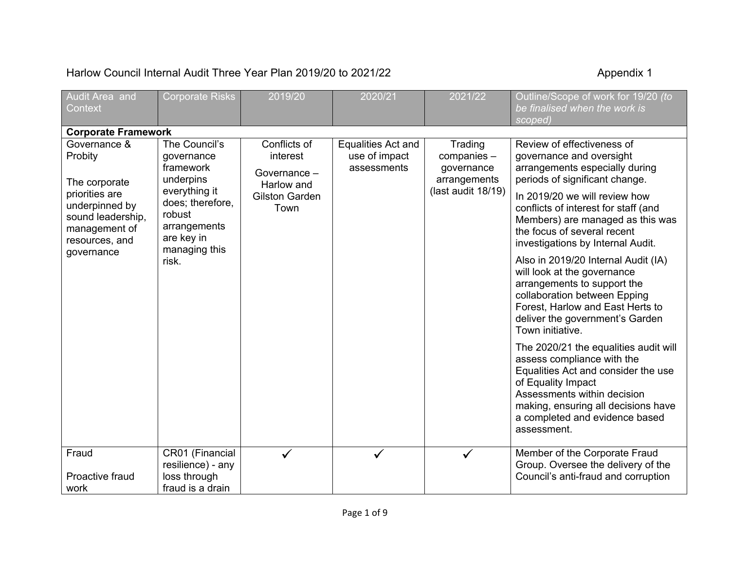## Harlow Council Internal Audit Three Year Plan 2019/20 to 2021/22 Appendix 1

| Audit Area and<br>Context                                                                | <b>Corporate Risks</b>                                                                     | 2019/20                                                                          | 2020/21                                            | 2021/22                                                                    | Outline/Scope of work for 19/20 (to<br>be finalised when the work is<br>scoped)                                                                                                                                                                         |
|------------------------------------------------------------------------------------------|--------------------------------------------------------------------------------------------|----------------------------------------------------------------------------------|----------------------------------------------------|----------------------------------------------------------------------------|---------------------------------------------------------------------------------------------------------------------------------------------------------------------------------------------------------------------------------------------------------|
| <b>Corporate Framework</b>                                                               |                                                                                            |                                                                                  |                                                    |                                                                            |                                                                                                                                                                                                                                                         |
| Governance &<br>Probity<br>The corporate                                                 | The Council's<br>governance<br>framework<br>underpins                                      | Conflicts of<br>interest<br>Governance -<br>Harlow and<br>Gilston Garden<br>Town | Equalities Act and<br>use of impact<br>assessments | Trading<br>companies -<br>governance<br>arrangements<br>(last audit 18/19) | Review of effectiveness of<br>governance and oversight<br>arrangements especially during<br>periods of significant change.                                                                                                                              |
| priorities are<br>underpinned by<br>sound leadership,<br>management of<br>resources, and | everything it<br>does; therefore,<br>robust<br>arrangements<br>are key in<br>managing this |                                                                                  |                                                    |                                                                            | In 2019/20 we will review how<br>conflicts of interest for staff (and<br>Members) are managed as this was<br>the focus of several recent<br>investigations by Internal Audit.                                                                           |
| governance                                                                               | risk.                                                                                      |                                                                                  |                                                    |                                                                            | Also in 2019/20 Internal Audit (IA)<br>will look at the governance<br>arrangements to support the<br>collaboration between Epping<br>Forest, Harlow and East Herts to<br>deliver the government's Garden<br>Town initiative.                            |
|                                                                                          |                                                                                            |                                                                                  |                                                    |                                                                            | The 2020/21 the equalities audit will<br>assess compliance with the<br>Equalities Act and consider the use<br>of Equality Impact<br>Assessments within decision<br>making, ensuring all decisions have<br>a completed and evidence based<br>assessment. |
| Fraud<br>Proactive fraud<br>work                                                         | CR01 (Financial<br>resilience) - any<br>loss through<br>fraud is a drain                   | ✓                                                                                |                                                    | $\checkmark$                                                               | Member of the Corporate Fraud<br>Group. Oversee the delivery of the<br>Council's anti-fraud and corruption                                                                                                                                              |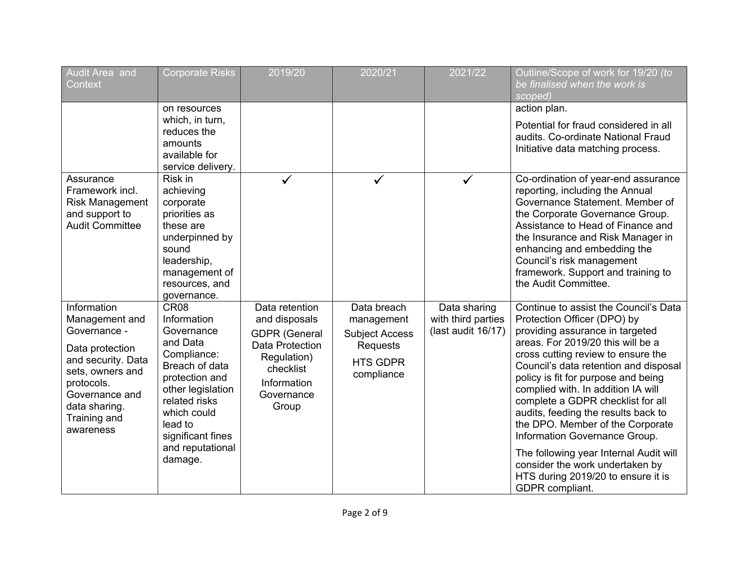| Audit Area and<br>Context                                                                                                                                                                | <b>Corporate Risks</b>                                                                                                                                                                                               | 2019/20                                                                                                                                      | 2020/21                                                                                                | 2021/22                                                  | Outline/Scope of work for 19/20 (to<br>be finalised when the work is<br>scoped)                                                                                                                                                                                                                                                                                                                                                                                                                                                                                                                 |
|------------------------------------------------------------------------------------------------------------------------------------------------------------------------------------------|----------------------------------------------------------------------------------------------------------------------------------------------------------------------------------------------------------------------|----------------------------------------------------------------------------------------------------------------------------------------------|--------------------------------------------------------------------------------------------------------|----------------------------------------------------------|-------------------------------------------------------------------------------------------------------------------------------------------------------------------------------------------------------------------------------------------------------------------------------------------------------------------------------------------------------------------------------------------------------------------------------------------------------------------------------------------------------------------------------------------------------------------------------------------------|
|                                                                                                                                                                                          | on resources                                                                                                                                                                                                         |                                                                                                                                              |                                                                                                        |                                                          | action plan.                                                                                                                                                                                                                                                                                                                                                                                                                                                                                                                                                                                    |
|                                                                                                                                                                                          | which, in turn,<br>reduces the<br>amounts<br>available for<br>service delivery.                                                                                                                                      |                                                                                                                                              |                                                                                                        |                                                          | Potential for fraud considered in all<br>audits. Co-ordinate National Fraud<br>Initiative data matching process.                                                                                                                                                                                                                                                                                                                                                                                                                                                                                |
| Assurance<br>Framework incl.<br><b>Risk Management</b><br>and support to<br><b>Audit Committee</b>                                                                                       | Risk in<br>achieving<br>corporate<br>priorities as<br>these are<br>underpinned by<br>sound<br>leadership,<br>management of<br>resources, and<br>governance.                                                          | $\checkmark$                                                                                                                                 | $\checkmark$                                                                                           | $\checkmark$                                             | Co-ordination of year-end assurance<br>reporting, including the Annual<br>Governance Statement. Member of<br>the Corporate Governance Group.<br>Assistance to Head of Finance and<br>the Insurance and Risk Manager in<br>enhancing and embedding the<br>Council's risk management<br>framework. Support and training to<br>the Audit Committee.                                                                                                                                                                                                                                                |
| Information<br>Management and<br>Governance -<br>Data protection<br>and security. Data<br>sets, owners and<br>protocols.<br>Governance and<br>data sharing.<br>Training and<br>awareness | CR08<br>Information<br>Governance<br>and Data<br>Compliance:<br>Breach of data<br>protection and<br>other legislation<br>related risks<br>which could<br>lead to<br>significant fines<br>and reputational<br>damage. | Data retention<br>and disposals<br><b>GDPR (General</b><br>Data Protection<br>Regulation)<br>checklist<br>Information<br>Governance<br>Group | Data breach<br>management<br><b>Subject Access</b><br><b>Requests</b><br><b>HTS GDPR</b><br>compliance | Data sharing<br>with third parties<br>(last audit 16/17) | Continue to assist the Council's Data<br>Protection Officer (DPO) by<br>providing assurance in targeted<br>areas. For 2019/20 this will be a<br>cross cutting review to ensure the<br>Council's data retention and disposal<br>policy is fit for purpose and being<br>complied with. In addition IA will<br>complete a GDPR checklist for all<br>audits, feeding the results back to<br>the DPO. Member of the Corporate<br>Information Governance Group.<br>The following year Internal Audit will<br>consider the work undertaken by<br>HTS during 2019/20 to ensure it is<br>GDPR compliant. |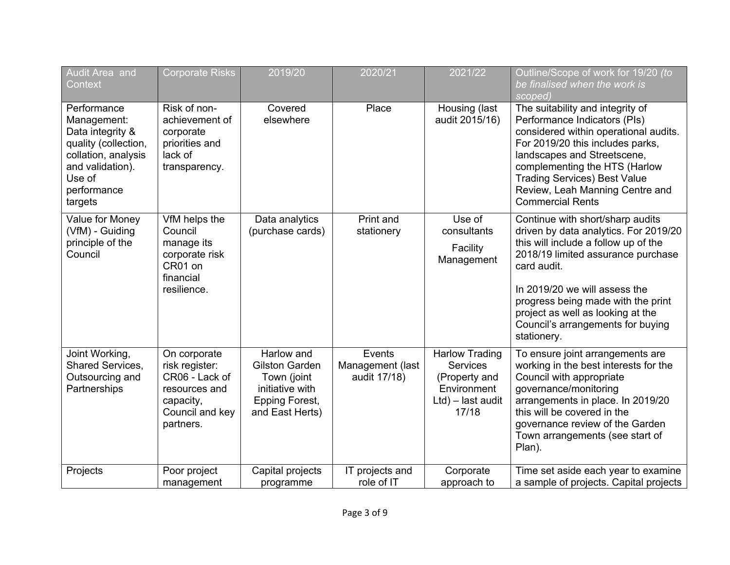| Audit Area and                                                                                                                                        | <b>Corporate Risks</b>                                                                                         | 2019/20                                                                                                           | 2020/21                                    | 2021/22                                                                                                   | Outline/Scope of work for 19/20 (to                                                                                                                                                                                                                                                                                                    |
|-------------------------------------------------------------------------------------------------------------------------------------------------------|----------------------------------------------------------------------------------------------------------------|-------------------------------------------------------------------------------------------------------------------|--------------------------------------------|-----------------------------------------------------------------------------------------------------------|----------------------------------------------------------------------------------------------------------------------------------------------------------------------------------------------------------------------------------------------------------------------------------------------------------------------------------------|
| Context                                                                                                                                               |                                                                                                                |                                                                                                                   |                                            |                                                                                                           | be finalised when the work is<br>scoped)                                                                                                                                                                                                                                                                                               |
| Performance<br>Management:<br>Data integrity &<br>quality (collection,<br>collation, analysis<br>and validation).<br>Use of<br>performance<br>targets | Risk of non-<br>achievement of<br>corporate<br>priorities and<br>lack of<br>transparency.                      | Covered<br>elsewhere                                                                                              | Place                                      | Housing (last<br>audit 2015/16)                                                                           | The suitability and integrity of<br>Performance Indicators (PIs)<br>considered within operational audits.<br>For 2019/20 this includes parks,<br>landscapes and Streetscene,<br>complementing the HTS (Harlow<br><b>Trading Services) Best Value</b><br>Review, Leah Manning Centre and<br><b>Commercial Rents</b>                     |
| Value for Money<br>(VfM) - Guiding<br>principle of the<br>Council                                                                                     | VfM helps the<br>Council<br>manage its<br>corporate risk<br>CR01 on<br>financial<br>resilience.                | Data analytics<br>(purchase cards)                                                                                | Print and<br>stationery                    | Use of<br>consultants<br>Facility<br>Management                                                           | Continue with short/sharp audits<br>driven by data analytics. For 2019/20<br>this will include a follow up of the<br>2018/19 limited assurance purchase<br>card audit.<br>In 2019/20 we will assess the<br>progress being made with the print<br>project as well as looking at the<br>Council's arrangements for buying<br>stationery. |
| Joint Working,<br>Shared Services,<br>Outsourcing and<br>Partnerships                                                                                 | On corporate<br>risk register:<br>CR06 - Lack of<br>resources and<br>capacity,<br>Council and key<br>partners. | Harlow and<br><b>Gilston Garden</b><br>Town (joint<br>initiative with<br><b>Epping Forest,</b><br>and East Herts) | Events<br>Management (last<br>audit 17/18) | <b>Harlow Trading</b><br><b>Services</b><br>(Property and<br>Environment<br>$Ltd$ ) – last audit<br>17/18 | To ensure joint arrangements are<br>working in the best interests for the<br>Council with appropriate<br>governance/monitoring<br>arrangements in place. In 2019/20<br>this will be covered in the<br>governance review of the Garden<br>Town arrangements (see start of<br>Plan).                                                     |
| Projects                                                                                                                                              | Poor project<br>management                                                                                     | Capital projects<br>programme                                                                                     | IT projects and<br>role of IT              | Corporate<br>approach to                                                                                  | Time set aside each year to examine<br>a sample of projects. Capital projects                                                                                                                                                                                                                                                          |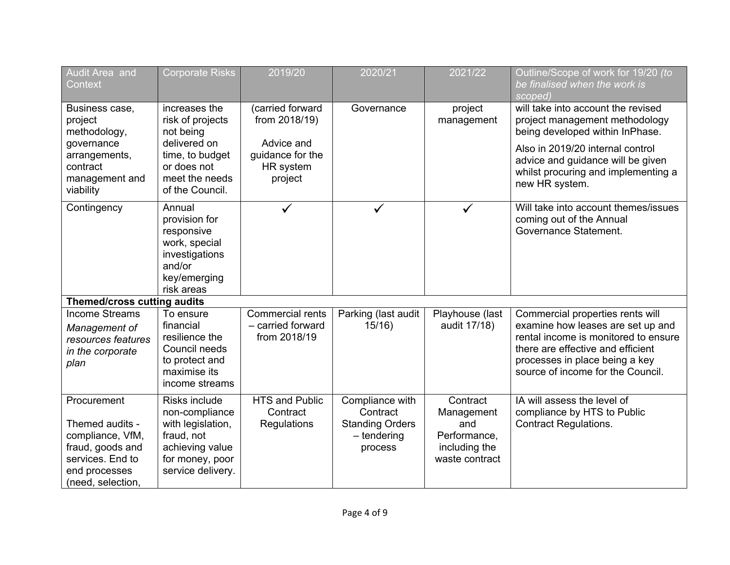| Audit Area and<br>Context                                                                                                        | <b>Corporate Risks</b>                                                                                                                | 2019/20                                                                                     | 2020/21                                                                           | 2021/22                                                                          | Outline/Scope of work for 19/20 (to<br>be finalised when the work is<br>scoped)                                                                                                                                                           |
|----------------------------------------------------------------------------------------------------------------------------------|---------------------------------------------------------------------------------------------------------------------------------------|---------------------------------------------------------------------------------------------|-----------------------------------------------------------------------------------|----------------------------------------------------------------------------------|-------------------------------------------------------------------------------------------------------------------------------------------------------------------------------------------------------------------------------------------|
| Business case,<br>project<br>methodology,<br>governance<br>arrangements,<br>contract<br>management and<br>viability              | increases the<br>risk of projects<br>not being<br>delivered on<br>time, to budget<br>or does not<br>meet the needs<br>of the Council. | (carried forward<br>from 2018/19)<br>Advice and<br>guidance for the<br>HR system<br>project | Governance                                                                        | project<br>management                                                            | will take into account the revised<br>project management methodology<br>being developed within InPhase.<br>Also in 2019/20 internal control<br>advice and guidance will be given<br>whilst procuring and implementing a<br>new HR system. |
| Contingency                                                                                                                      | Annual<br>provision for<br>responsive<br>work, special<br>investigations<br>and/or<br>key/emerging<br>risk areas                      |                                                                                             |                                                                                   | $\checkmark$                                                                     | Will take into account themes/issues<br>coming out of the Annual<br>Governance Statement.                                                                                                                                                 |
| <b>Themed/cross cutting audits</b>                                                                                               |                                                                                                                                       |                                                                                             |                                                                                   |                                                                                  |                                                                                                                                                                                                                                           |
| <b>Income Streams</b><br>Management of<br>resources features<br>in the corporate<br>plan                                         | To ensure<br>financial<br>resilience the<br>Council needs<br>to protect and<br>maximise its<br>income streams                         | Commercial rents<br>- carried forward<br>from 2018/19                                       | Parking (last audit<br>15/16                                                      | Playhouse (last<br>audit 17/18)                                                  | Commercial properties rents will<br>examine how leases are set up and<br>rental income is monitored to ensure<br>there are effective and efficient<br>processes in place being a key<br>source of income for the Council.                 |
| Procurement<br>Themed audits -<br>compliance, VfM,<br>fraud, goods and<br>services. End to<br>end processes<br>(need, selection, | Risks include<br>non-compliance<br>with legislation,<br>fraud, not<br>achieving value<br>for money, poor<br>service delivery.         | <b>HTS and Public</b><br>Contract<br>Regulations                                            | Compliance with<br>Contract<br><b>Standing Orders</b><br>$-$ tendering<br>process | Contract<br>Management<br>and<br>Performance,<br>including the<br>waste contract | IA will assess the level of<br>compliance by HTS to Public<br><b>Contract Regulations.</b>                                                                                                                                                |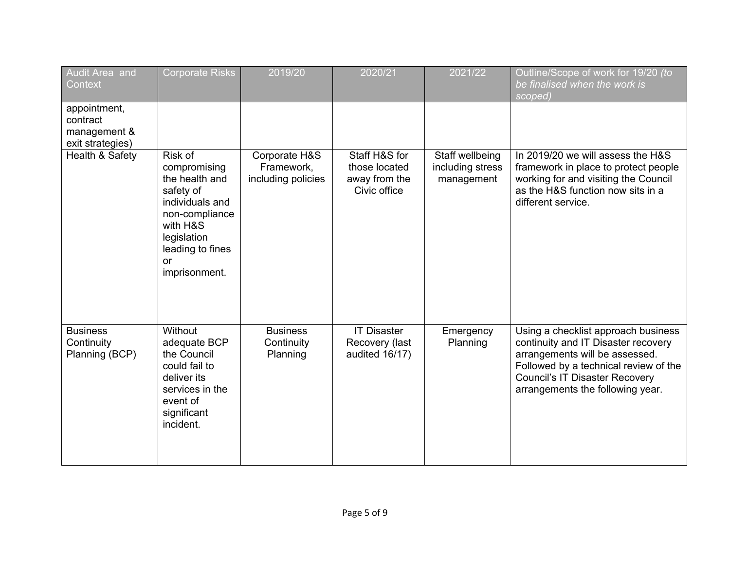| Audit Area and<br>Context                                    | <b>Corporate Risks</b>                                                                                                                                            | 2019/20                                           | 2020/21                                                         | 2021/22                                           | Outline/Scope of work for 19/20 (to<br>be finalised when the work is<br>scoped)                                                                                                                                                    |
|--------------------------------------------------------------|-------------------------------------------------------------------------------------------------------------------------------------------------------------------|---------------------------------------------------|-----------------------------------------------------------------|---------------------------------------------------|------------------------------------------------------------------------------------------------------------------------------------------------------------------------------------------------------------------------------------|
| appointment,<br>contract<br>management &<br>exit strategies) |                                                                                                                                                                   |                                                   |                                                                 |                                                   |                                                                                                                                                                                                                                    |
| Health & Safety                                              | Risk of<br>compromising<br>the health and<br>safety of<br>individuals and<br>non-compliance<br>with H&S<br>legislation<br>leading to fines<br>or<br>imprisonment. | Corporate H&S<br>Framework,<br>including policies | Staff H&S for<br>those located<br>away from the<br>Civic office | Staff wellbeing<br>including stress<br>management | In 2019/20 we will assess the H&S<br>framework in place to protect people<br>working for and visiting the Council<br>as the H&S function now sits in a<br>different service.                                                       |
| <b>Business</b><br>Continuity<br>Planning (BCP)              | Without<br>adequate BCP<br>the Council<br>could fail to<br>deliver its<br>services in the<br>event of<br>significant<br>incident.                                 | <b>Business</b><br>Continuity<br>Planning         | <b>IT Disaster</b><br>Recovery (last<br>audited 16/17)          | Emergency<br>Planning                             | Using a checklist approach business<br>continuity and IT Disaster recovery<br>arrangements will be assessed.<br>Followed by a technical review of the<br><b>Council's IT Disaster Recovery</b><br>arrangements the following year. |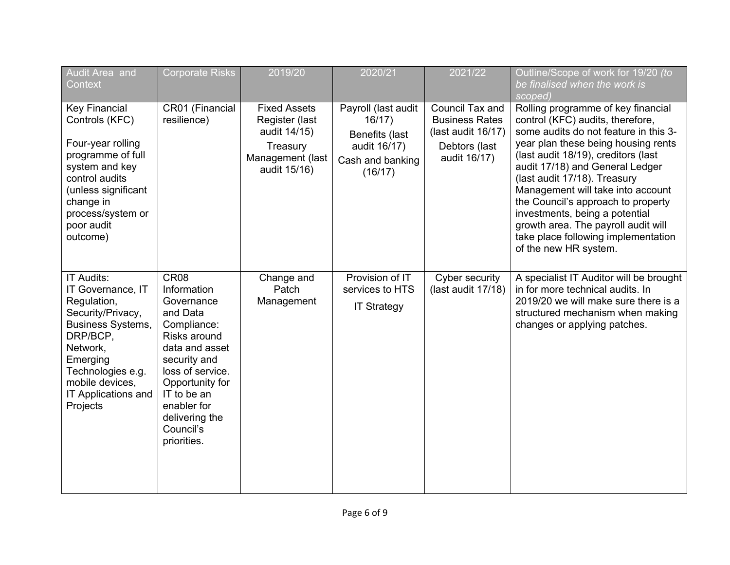| Audit Area and<br>Context                                                                                                                                                                                      | <b>Corporate Risks</b>                                                                                                                                                                                                                        | 2019/20                                                                                               | 2020/21                                                                                       | 2021/22                                                                                         | Outline/Scope of work for 19/20 (to<br>be finalised when the work is<br>scoped)                                                                                                                                                                                                                                                                                                                                                                                                      |
|----------------------------------------------------------------------------------------------------------------------------------------------------------------------------------------------------------------|-----------------------------------------------------------------------------------------------------------------------------------------------------------------------------------------------------------------------------------------------|-------------------------------------------------------------------------------------------------------|-----------------------------------------------------------------------------------------------|-------------------------------------------------------------------------------------------------|--------------------------------------------------------------------------------------------------------------------------------------------------------------------------------------------------------------------------------------------------------------------------------------------------------------------------------------------------------------------------------------------------------------------------------------------------------------------------------------|
| <b>Key Financial</b><br>Controls (KFC)<br>Four-year rolling<br>programme of full<br>system and key<br>control audits<br>(unless significant<br>change in<br>process/system or<br>poor audit<br>outcome)        | CR01 (Financial<br>resilience)                                                                                                                                                                                                                | <b>Fixed Assets</b><br>Register (last<br>audit 14/15)<br>Treasury<br>Management (last<br>audit 15/16) | Payroll (last audit<br>16/17<br>Benefits (last<br>audit 16/17)<br>Cash and banking<br>(16/17) | Council Tax and<br><b>Business Rates</b><br>(last audit 16/17)<br>Debtors (last<br>audit 16/17) | Rolling programme of key financial<br>control (KFC) audits, therefore,<br>some audits do not feature in this 3-<br>year plan these being housing rents<br>(last audit 18/19), creditors (last<br>audit 17/18) and General Ledger<br>(last audit 17/18). Treasury<br>Management will take into account<br>the Council's approach to property<br>investments, being a potential<br>growth area. The payroll audit will<br>take place following implementation<br>of the new HR system. |
| IT Audits:<br>IT Governance, IT<br>Regulation,<br>Security/Privacy,<br><b>Business Systems,</b><br>DRP/BCP,<br>Network,<br>Emerging<br>Technologies e.g.<br>mobile devices,<br>IT Applications and<br>Projects | CR <sub>08</sub><br>Information<br>Governance<br>and Data<br>Compliance:<br>Risks around<br>data and asset<br>security and<br>loss of service.<br>Opportunity for<br>IT to be an<br>enabler for<br>delivering the<br>Council's<br>priorities. | Change and<br>Patch<br>Management                                                                     | Provision of IT<br>services to HTS<br><b>IT Strategy</b>                                      | Cyber security<br>(last audit 17/18)                                                            | A specialist IT Auditor will be brought<br>in for more technical audits. In<br>2019/20 we will make sure there is a<br>structured mechanism when making<br>changes or applying patches.                                                                                                                                                                                                                                                                                              |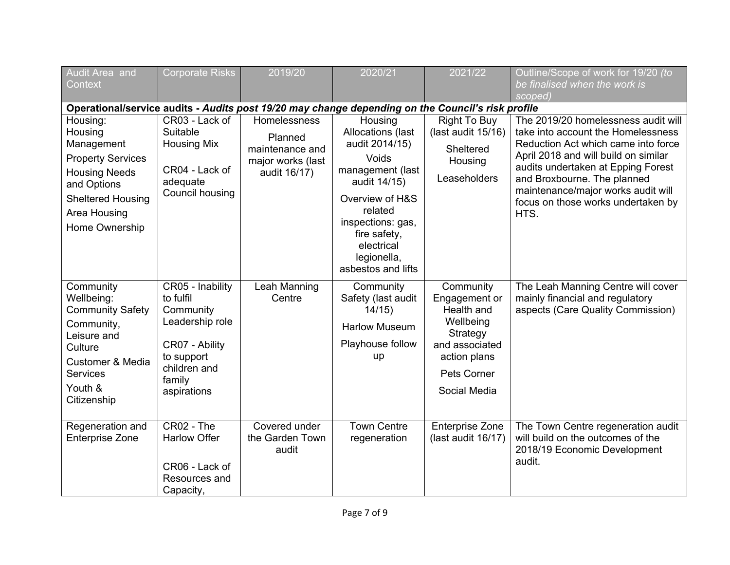| Audit Area and<br>Context                                                                                                                                              | <b>Corporate Risks</b>                                                                                                                 | 2019/20                                                                         | 2020/21                                                                                                                                                                                                           | 2021/22                                                                                                                            | Outline/Scope of work for 19/20 (to<br>be finalised when the work is                                                                                                                                                                                                                                              |
|------------------------------------------------------------------------------------------------------------------------------------------------------------------------|----------------------------------------------------------------------------------------------------------------------------------------|---------------------------------------------------------------------------------|-------------------------------------------------------------------------------------------------------------------------------------------------------------------------------------------------------------------|------------------------------------------------------------------------------------------------------------------------------------|-------------------------------------------------------------------------------------------------------------------------------------------------------------------------------------------------------------------------------------------------------------------------------------------------------------------|
|                                                                                                                                                                        |                                                                                                                                        |                                                                                 |                                                                                                                                                                                                                   |                                                                                                                                    | scoped)                                                                                                                                                                                                                                                                                                           |
| Operational/service audits - Audits post 19/20 may change depending on the Council's risk profile                                                                      |                                                                                                                                        |                                                                                 |                                                                                                                                                                                                                   |                                                                                                                                    |                                                                                                                                                                                                                                                                                                                   |
| Housing:<br>Housing<br>Management<br><b>Property Services</b><br><b>Housing Needs</b><br>and Options<br><b>Sheltered Housing</b><br>Area Housing<br>Home Ownership     | CR03 - Lack of<br>Suitable<br><b>Housing Mix</b><br>CR04 - Lack of<br>adequate<br>Council housing                                      | Homelessness<br>Planned<br>maintenance and<br>major works (last<br>audit 16/17) | Housing<br>Allocations (last<br>audit 2014/15)<br>Voids<br>management (last<br>audit 14/15)<br>Overview of H&S<br>related<br>inspections: gas,<br>fire safety,<br>electrical<br>legionella,<br>asbestos and lifts | <b>Right To Buy</b><br>(last audit 15/16)<br>Sheltered<br>Housing<br>Leaseholders                                                  | The 2019/20 homelessness audit will<br>take into account the Homelessness<br>Reduction Act which came into force<br>April 2018 and will build on similar<br>audits undertaken at Epping Forest<br>and Broxbourne. The planned<br>maintenance/major works audit will<br>focus on those works undertaken by<br>HTS. |
| Community<br>Wellbeing:<br><b>Community Safety</b><br>Community,<br>Leisure and<br>Culture<br><b>Customer &amp; Media</b><br><b>Services</b><br>Youth &<br>Citizenship | CR05 - Inability<br>to fulfil<br>Community<br>Leadership role<br>CR07 - Ability<br>to support<br>children and<br>family<br>aspirations | Leah Manning<br>Centre                                                          | Community<br>Safety (last audit<br>14/15<br><b>Harlow Museum</b><br>Playhouse follow<br>up                                                                                                                        | Community<br>Engagement or<br>Health and<br>Wellbeing<br>Strategy<br>and associated<br>action plans<br>Pets Corner<br>Social Media | The Leah Manning Centre will cover<br>mainly financial and regulatory<br>aspects (Care Quality Commission)                                                                                                                                                                                                        |
| Regeneration and<br><b>Enterprise Zone</b>                                                                                                                             | CR02 - The<br><b>Harlow Offer</b><br>CR06 - Lack of<br>Resources and<br>Capacity,                                                      | Covered under<br>the Garden Town<br>audit                                       | <b>Town Centre</b><br>regeneration                                                                                                                                                                                | <b>Enterprise Zone</b><br>(last audit 16/17)                                                                                       | The Town Centre regeneration audit<br>will build on the outcomes of the<br>2018/19 Economic Development<br>audit.                                                                                                                                                                                                 |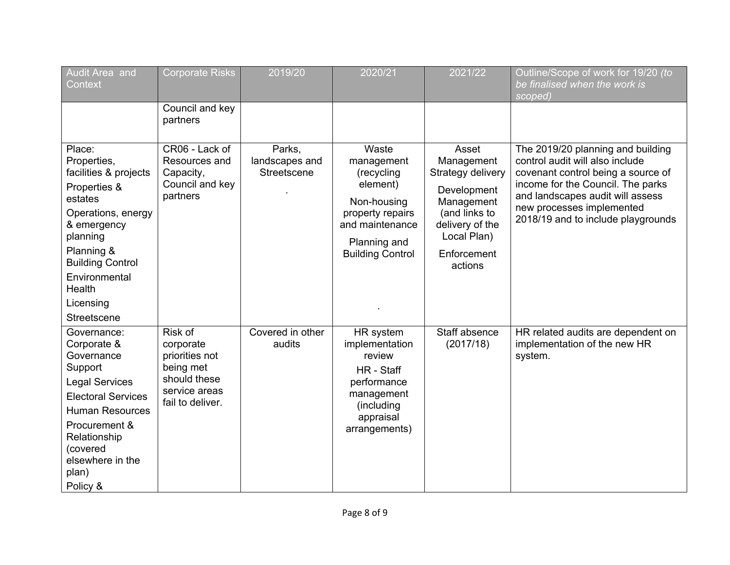| Audit Area and<br>Context                                                                                                                                                                                                  | <b>Corporate Risks</b>                                                                                   | 2019/20                                 | 2020/21                                                                                                                                        | 2021/22                                                                                                                                            | Outline/Scope of work for 19/20 (to<br>be finalised when the work is<br>scoped)                                                                                                                                                                        |
|----------------------------------------------------------------------------------------------------------------------------------------------------------------------------------------------------------------------------|----------------------------------------------------------------------------------------------------------|-----------------------------------------|------------------------------------------------------------------------------------------------------------------------------------------------|----------------------------------------------------------------------------------------------------------------------------------------------------|--------------------------------------------------------------------------------------------------------------------------------------------------------------------------------------------------------------------------------------------------------|
|                                                                                                                                                                                                                            | Council and key<br>partners                                                                              |                                         |                                                                                                                                                |                                                                                                                                                    |                                                                                                                                                                                                                                                        |
| Place:<br>Properties,<br>facilities & projects<br>Properties &<br>estates<br>Operations, energy<br>& emergency<br>planning<br>Planning &<br><b>Building Control</b><br>Environmental<br>Health<br>Licensing<br>Streetscene | CR06 - Lack of<br>Resources and<br>Capacity,<br>Council and key<br>partners                              | Parks,<br>landscapes and<br>Streetscene | Waste<br>management<br>(recycling<br>element)<br>Non-housing<br>property repairs<br>and maintenance<br>Planning and<br><b>Building Control</b> | Asset<br>Management<br>Strategy delivery<br>Development<br>Management<br>(and links to<br>delivery of the<br>Local Plan)<br>Enforcement<br>actions | The 2019/20 planning and building<br>control audit will also include<br>covenant control being a source of<br>income for the Council. The parks<br>and landscapes audit will assess<br>new processes implemented<br>2018/19 and to include playgrounds |
| Governance:<br>Corporate &<br>Governance<br>Support<br><b>Legal Services</b><br><b>Electoral Services</b><br><b>Human Resources</b><br>Procurement &<br>Relationship<br>(covered<br>elsewhere in the<br>plan)<br>Policy &  | Risk of<br>corporate<br>priorities not<br>being met<br>should these<br>service areas<br>fail to deliver. | Covered in other<br>audits              | HR system<br>implementation<br>review<br>HR - Staff<br>performance<br>management<br>(including<br>appraisal<br>arrangements)                   | Staff absence<br>(2017/18)                                                                                                                         | HR related audits are dependent on<br>implementation of the new HR<br>system.                                                                                                                                                                          |